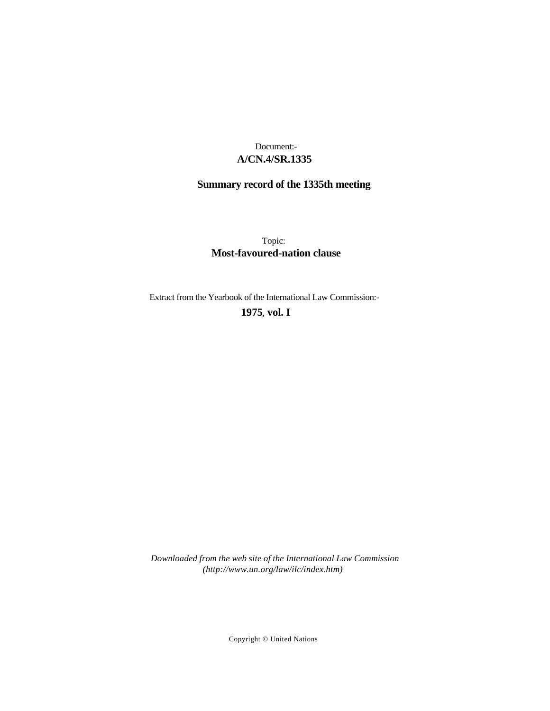# **A/CN.4/SR.1335** Document:-

# **Summary record of the 1335th meeting**

Topic: **Most-favoured-nation clause**

Extract from the Yearbook of the International Law Commission:-

# **1975** , **vol. I**

*Downloaded from the web site of the International Law Commission (http://www.un.org/law/ilc/index.htm)*

Copyright © United Nations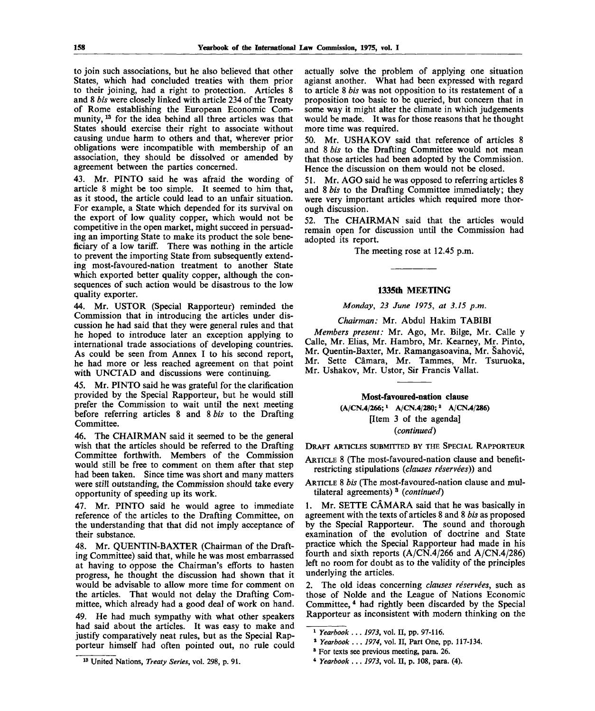to join such associations, but he also believed that other States, which had concluded treaties with them prior to their joining, had a right to protection. Articles 8 and 8 *bis* were closely linked with article 234 of the Treaty of Rome establishing the European Economic Community, <sup>13</sup> for the idea behind all three articles was that States should exercise their right to associate without causing undue harm to others and that, wherever prior obligations were incompatible with membership of an association, they should be dissolved or amended by agreement between the parties concerned.

43. Mr. PINTO said he was afraid the wording of article 8 might be too simple. It seemed to him that, as it stood, the article could lead to an unfair situation. For example, a State which depended for its survival on the export of low quality copper, which would not be competitive in the open market, might succeed in persuading an importing State to make its product the sole beneficiary of a low tariff. There was nothing in the article to prevent the importing State from subsequently extending most-favoured-nation treatment to another State which exported better quality copper, although the consequences of such action would be disastrous to the low quality exporter.

44. Mr. USTOR (Special Rapporteur) reminded the Commission that in introducing the articles under discussion he had said that they were general rules and that he hoped to introduce later an exception applying to international trade associations of developing countries. As could be seen from Annex I to his second report, he had more or less reached agreement on that point with UNCTAD and discussions were continuing.

45. Mr. PINTO said he was grateful for the clarification provided by the Special Rapporteur, but he would still prefer the Commission to wait until the next meeting before referring articles 8 and 8 *bis* to the Drafting Committee.

46. The CHAIRMAN said it seemed to be the general wish that the articles should be referred to the Drafting Committee forthwith. Members of the Commission would still be free to comment on them after that step had been taken. Since time was short and many matters were still outstanding, the Commission should take every opportunity of speeding up its work.

47. Mr. PINTO said he would agree to immediate reference of the articles to the Drafting Committee, on the understanding that that did not imply acceptance of their substance.

48. Mr. QUENTIN-BAXTER (Chairman of the Drafting Committee) said that, while he was most embarrassed at having to oppose the Chairman's efforts to hasten progress, he thought the discussion had shown that it would be advisable to allow more time for comment on the articles. That would not delay the Drafting Committee, which already had a good deal of work on hand.

49. He had much sympathy with what other speakers had said about the articles. It was easy to make and justify comparatively neat rules, but as the Special Rapporteur himself had often pointed out, no rule could

actually solve the problem of applying one situation agianst another. What had been expressed with regard to article 8 *bis* was not opposition to its restatement of a proposition too basic to be queried, but concern that in some way it might alter the climate in which judgements would be made. It was for those reasons that he thought more time was required.

50. Mr. USHAKOV said that reference of articles 8 and 8 *bis* to the Drafting Committee would not mean that those articles had been adopted by the Commission. Hence the discussion on them would not be closed.

51. Mr. AGO said he was opposed to referring articles 8 and 8 *bis* to the Drafting Committee immediately; they were very important articles which required more thorough discussion.

52. The CHAIRMAN said that the articles would remain open for discussion until the Commission had adopted its report.

The meeting rose at 12.45 p.m.

### **1335th MEETING**

*Monday, 23 June 1975, at 3.15 p.m.*

*Chairman:* Mr. Abdul Hakim TABIBI

*Members present:* Mr. Ago, Mr. Bilge, Mr. Calle y Calle, Mr. Elias, Mr. Hambro, Mr. Kearney, Mr. Pinto, Mr. Quentin-Baxter, Mr. Ramangasoavina, Mr. Sahovic, Mr. Sette Camara, Mr. Tammes, Mr. Tsuruoka, Mr. Ushakov, Mr. Ustor, Sir Francis Vallat.

# **Most-favoured-nation clause**

**(A/CN.4/266;**<sup>x</sup>  **A/CN.4/280;<sup>2</sup> A/CN.4/286)** [Item 3 of the agenda] *(continued)*

DRAFT ARTICLES SUBMITTED BY THE SPECIAL RAPPORTEUR

## ARTICLE 8 (The most-favoured-nation clause and benefitrestricting stipulations *(clauses reservees))* and

ARTICLE 8 *bis* (The most-favoured-nation clause and multilateral agreements) <sup>3</sup> *(continued)*

1. Mr. SETTE CÂMARA said that he was basically in agreement with the texts of articles 8 and 8 *bis* as proposed by the Special Rapporteur. The sound and thorough examination of the evolution of doctrine and State practice which the Special Rapporteur had made in his fourth and sixth reports (A/CN.4/266 and A/CN.4/286) left no room for doubt as to the validity of the principles underlying the articles.

2. The old ideas concerning *clauses reservees,* such as those of Nolde and the League of Nations Economic Committee,<sup>4</sup> had rightly been discarded by the Special Rapporteur as inconsistent with modern thinking on the

<sup>1</sup>  *Yearbook . .. 1973,* vol. II, pp. 97-116.

<sup>2</sup>  *Yearbook* .. . *1974,* vol. II, Part One, pp. 117-134.

<sup>&</sup>lt;sup>3</sup> For texts see previous meeting, para. 26.

<sup>4</sup>  *Yearbook ... 1973,* vol. H, p. 108, para. (4).

<sup>13</sup> United Nations, *Treaty Series,* vol. 298, p. 91.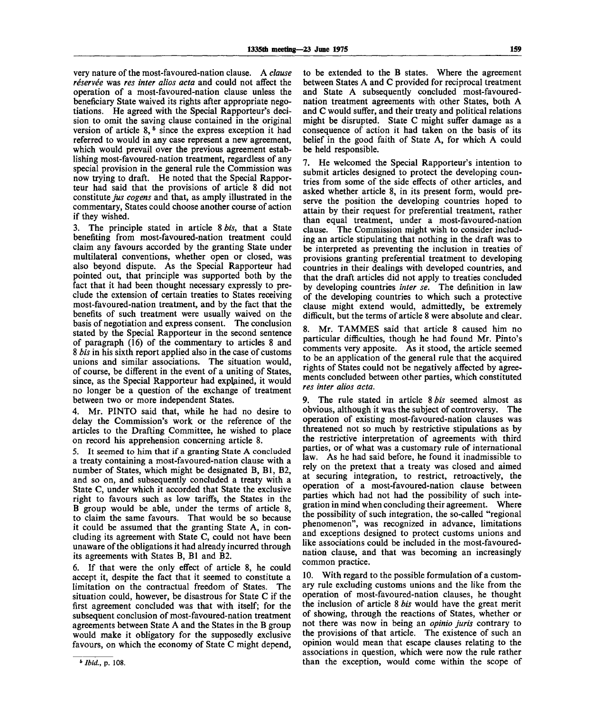very nature of the most-favoured-nation clause. A *clause reservee* was *res inter alios acta* and could not affect the operation of a most-favoured-nation clause unless the beneficiary State waived its rights after appropriate negotiations. He agreed with the Special Rapporteur's decision to omit the saving clause contained in the original version of article  $8, 5$  since the express exception it had referred to would in any case represent a new agreement, which would prevail over the previous agreement establishing most-favoured-nation treatment, regardless of any special provision in the general rule the Commission was now trying to draft. He noted that the Special Rapporteur had said that the provisions of article 8 did not constitute *jus cogens* and that, as amply illustrated in the commentary, States could choose another course of action if they wished.

3. The principle stated in article 8 *bis,* that a State benefiting from most-favoured-nation treatment could claim any favours accorded by the granting State under multilateral conventions, whether open or closed, was also beyond dispute. As the Special Rapporteur had pointed out, that principle was supported both by the fact that it had been thought necessary expressly to preclude the extension of certain treaties to States receiving most-favoured-nation treatment, and by the fact that the benefits of such treatment were usually waived on the basis of negotiation and express consent. The conclusion stated by the Special Rapporteur in the second sentence of paragraph (16) of the commentary to articles 8 and 8 *bis* in his sixth report applied also in the case of customs unions and similar associations. The situation would, of course, be different in the event of a uniting of States, since, as the Special Rapporteur had explained, it would no longer be a question of the exchange of treatment between two or more independent States.

4. Mr. PINTO said that, while he had no desire to delay the Commission's work or the reference of the articles to the Drafting Committee, he wished to place on record his apprehension concerning article 8.

5. It seemed to him that if a granting State A concluded a treaty containing a most-favoured-nation clause with a number of States, which might be designated B, Bl, B2, and so on, and subsequently concluded a treaty with a State C, under which it accorded that State the exclusive right to favours such as low tariffs, the States in the B group would be able, under the terms of article 8, to claim the same favours. That would be so because it could be assumed that the granting State A, in concluding its agreement with State C, could not have been unaware of the obligations it had already incurred through its agreements with States B, Bl and B2.

6. If that were the only effect of article 8, he could accept it, despite the fact that it seemed to constitute a limitation on the contractual freedom of States. The situation could, however, be disastrous for State C if the first agreement concluded was that with itself; for the subsequent conclusion of most-favoured-nation treatment agreements between State A and the States in the B group would make it obligatory for the supposedly exclusive favours, on which the economy of State C might depend,

to be extended to the B states. Where the agreement between States A and C provided for reciprocal treatment and State A subsequently concluded most-favourednation treatment agreements with other States, both A and C would suffer, and their treaty and political relations might be disrupted. State C might suffer damage as a consequence of action it had taken on the basis of its belief in the good faith of State A, for which A could be held responsible.

7. He welcomed the Special Rapporteur's intention to submit articles designed to protect the developing countries from some of the side effects of other articles, and asked whether article 8, in its present form, would preserve the position the developing countries hoped to attain by their request for preferential treatment, rather than equal treatment, under a most-favoured-nation clause. The Commission might wish to consider including an article stipulating that nothing in the draft was to be interpreted as preventing the inclusion in treaties of provisions granting preferential treatment to developing countries in their dealings with developed countries, and that the draft articles did not apply to treaties concluded by developing countries *inter se.* The definition in law of the developing countries to which such a protective clause might extend would, admittedly, be extremely difficult, but the terms of article 8 were absolute and clear.

8. Mr. TAMMES said that article 8 caused him no particular difficulties, though he had found Mr. Pinto's comments very apposite. As it stood, the article seemed to be an application of the general rule that the acquired rights of States could not be negatively affected by agreements concluded between other parties, which constituted *res inter alios acta.*

9. The rule stated in article 8 *bis* seemed almost as obvious, although it was the subject of controversy. The operation of existing most-favoured-nation clauses was threatened not so much by restrictive stipulations as by the restrictive interpretation of agreements with third parties, or of what was a customary rule of international law. As he had said before, he found it inadmissible to rely on the pretext that a treaty was closed and aimed at securing integration, to restrict, retroactively, the operation of a most-favoured-nation clause between parties which had not had the possibility of such integration in mind when concluding their agreement. Where the possibility of such integration, the so-called "regional phenomenon", was recognized in advance, limitations and exceptions designed to protect customs unions and like associations could be included in the most-favourednation clause, and that was becoming an increasingly common practice.

10. With regard to the possible formulation of a customary rule excluding customs unions and the like from the operation of most-favoured-nation clauses, he thought the inclusion of article 8 *bis* would have the great merit of showing, through the reactions of States, whether or not there was now in being an *opinio juris* contrary to the provisions of that article. The existence of such an opinion would mean that escape clauses relating to the associations in question, which were now the rule rather than the exception, would come within the scope of

**<sup>6</sup>**  *Ibid.,* **p. 108.**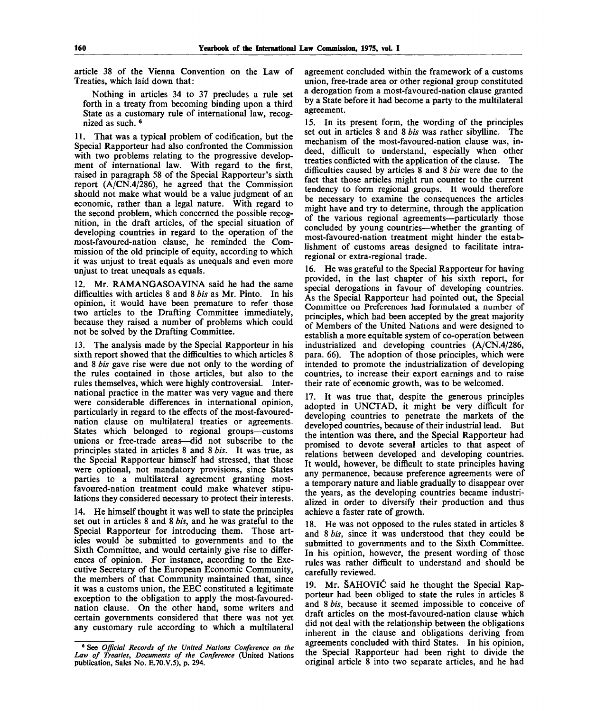article 38 of the Vienna Convention on the Law of Treaties, which laid down that:

Nothing in articles 34 to 37 precludes a rule set forth in a treaty from becoming binding upon a third State as a customary rule of international law, recogmized as such.  $6$ 

11. That was a typical problem of codification, but the Special Rapporteur had also confronted the Commission with two problems relating to the progressive development of international law. With regard to the first, raised in paragraph 58 of the Special Rapporteur's sixth report (A/CN.4/286), he agreed that the Commission should not make what would be a value judgment of an economic, rather than a legal nature. With regard to the second problem, which concerned the possible recognition, in the draft articles, of the special situation of developing countries in regard to the operation of the most-favoured-nation clause, he reminded the Commission of the old principle of equity, according to which it was unjust to treat equals as unequals and even more unjust to treat unequals as equals.

12. Mr. RAMANGASOAVINA said he had the same difficulties with articles 8 and 8 *bis* as Mr. Pinto. In his opinion, it would have been premature to refer those two articles to the Drafting Committee immediately, because they raised a number of problems which could not be solved by the Drafting Committee.

13. The analysis made by the Special Rapporteur in his sixth report showed that the difficulties to which articles 8 and 8 *bis* gave rise were due not only to the wording of the rules contained in those articles, but also to the rules themselves, which were highly controversial. International practice in the matter was very vague and there were considerable differences in international opinion, particularly in regard to the effects of the most-favourednation clause on multilateral treaties or agreements. States which belonged to regional groups—customs unions or free-trade areas—did not subscribe to the principles stated in articles 8 and 8 *bis.* It was true, as the Special Rapporteur himself had stressed, that those were optional, not mandatory provisions, since States parties to a multilateral agreement granting mostfavoured-nation treatment could make whatever stipulations they considered necessary to protect their interests.

14. He himself thought it was well to state the principles set out in articles 8 and 8 *bis,* and he was grateful to the Special Rapporteur for introducing them. Those articles would be submitted to governments and to the Sixth Committee, and would certainly give rise to differences of opinion. For instance, according to the Executive Secretary of the European Economic Community, the members of that Community maintained that, since it was a customs union, the EEC constituted a legitimate exception to the obligation to apply the most-favourednation clause. On the other hand, some writers and certain governments considered that there was not yet any customary rule according to which a multilateral

agreement concluded within the framework of a customs union, free-trade area or other regional group constituted a derogation from a most-favoured-nation clause granted by a State before it had become a party to the multilateral agreement.

15. In its present form, the wording of the principles set out in articles 8 and 8 *bis* was rather sibylline. The mechanism of the most-favoured-nation clause was, indeed, difficult to understand, especially when other treaties conflicted with the application of the clause. The difficulties caused by articles 8 and 8 *bis* were due to the fact that those articles might run counter to the current tendency to form regional groups. It would therefore be necessary to examine the consequences the articles might have and try to determine, through the application of the various regional agreements—particularly those concluded by young countries—whether the granting of most-favoured-nation treatment might hinder the establishment of customs areas designed to facilitate intraregional or extra-regional trade.

16. He was grateful to the Special Rapporteur for having provided, in the last chapter of his sixth report, for special derogations in favour of developing countries. As the Special Rapporteur had pointed out, the Special Committee on Preferences had formulated a number of principles, which had been accepted by the great majority of Members of the United Nations and were designed to establish a more equitable system of co-operation between industrialized and developing countries (A/CN.4/286, para. 66). The adoption of those principles, which were intended to promote the industrialization of developing countries, to increase their export earnings and to raise their rate of economic growth, was to be welcomed.

17. It was true that, despite the generous principles adopted in UNCTAD, it might be very difficult for developing countries to penetrate the markets of the developed countries, because of their industrial lead. But the intention was there, and the Special Rapporteur had promised to devote several articles to that aspect of relations between developed and developing countries. It would, however, be difficult to state principles having any permanence, because preference agreements were of a temporary nature and liable gradually to disappear over the years, as the developing countries became industrialized in order to diversify their production and thus achieve a faster rate of growth.

18. He was not opposed to the rules stated in articles 8 and 8 *bis,* since it was understood that they could be submitted to governments and to the Sixth Committee. In his opinion, however, the present wording of those rules was rather difficult to understand and should be carefully reviewed.

19. Mr. SAHOVIC said he thought the Special Rapporteur had been obliged to state the rules in articles 8 and 8 *bis,* because it seemed impossible to conceive of draft articles on the most-favoured-nation clause which did not deal with the relationship between the obligations inherent in the clause and obligations deriving from agreements concluded with third States. In his opinion, the Special Rapporteur had been right to divide the original article 8 into two separate articles, and he had

<sup>6</sup> See *Official Records of the United Nations Conference on the Law of Treaties, Documents of the Conference* (United Nations publication, Sales No. E.7O.V.5), p. 294.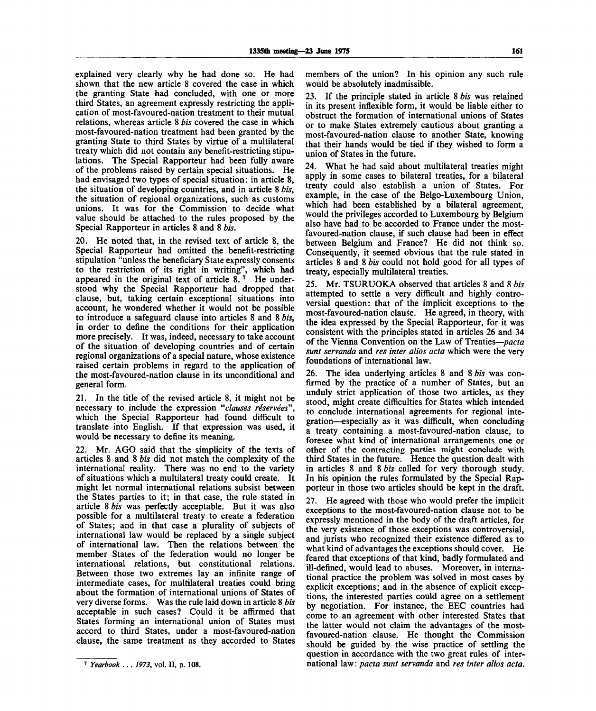explained very clearly why he had done so. He had shown that the new article 8 covered the case in which the granting State had concluded, with one or more third States, an agreement expressly restricting the application of most-favoured-nation treatment to their mutual relations, whereas article 8 *bis* covered the case in which most-favoured-nation treatment had been granted by the granting State to third States by virtue of a multilateral treaty which did not contain any benefit-restricting stipulations. The Special Rapporteur had been fully aware of the problems raised by certain special situations. He had envisaged two types of special situation: in article 8, the situation of developing countries, and in article 8 *bis,* the situation of regional organizations, such as customs unions. It was for the Commission to decide what value should be attached to the rules proposed by the Special Rapporteur in articles 8 and 8 *bis.*

20. He noted that, in the revised text of article 8, the Special Rapporteur had omitted the benefit-restricting stipulation "unless the beneficiary State expressly consents to the restriction of its right in writing", which had appeared in the original text of article  $8.7$  He understood why the Special Rapporteur had dropped that clause, but, taking certain exceptional situations into account, he wondered whether it would not be possible to introduce a safeguard clause into articles 8 and 8 *bis,* in order to define the conditions for their application more precisely. It was, indeed, necessary to take account of the situation of developing countries and of certain regional organizations of a special nature, whose existence raised certain problems in regard to the application of the most-favoured-nation clause in its unconditional and general form.

21. In the title of the revised article 8, it might not be necessary to include the expression *"clauses reservees",* which the Special Rapporteur had found difficult to translate into English. If that expression was used, it would be necessary to define its meaning.

22. Mr. AGO said that the simplicity of the texts of articles 8 and 8 *bis* did not match the complexity of the international reality. There was no end to the variety of situations which a multilateral treaty could create. It might let normal international relations subsist between the States parties to it; in that case, the rule stated in article 8 *bis* was perfectly acceptable. But it was also possible for a multilateral treaty to create a federation of States; and in that case a plurality of subjects of international law would be replaced by a single subject of international law. Then the relations between the member States of the federation would no longer be international relations, but constitutional relations. Between those two extremes lay an infinite range of intermediate cases, for multilateral treaties could bring about the formation of international unions of States of very diverse forms. Was the rule laid down in article 8 *bis* acceptable in such cases? Could it be affirmed that States forming an international union of States must accord to third States, under a most-favoured-nation clause, the same treatment as they accorded to States

members of the union? In his opinion any such rule would be absolutely inadmissible.

23. If the principle stated in article 8 *bis* was retained in its present inflexible form, it would be liable either to obstruct the formation of international unions of States or to make States extremely cautious about granting a most-favoured-nation clause to another State, knowing that their hands would be tied if they wished to form a union of States in the future.

24. What he had said about multilateral treaties might apply in some cases to bilateral treaties, for a bilateral treaty could also establish a union of States. For example, in the case of the Belgo-Luxembourg Union, which had been established by a bilateral agreement, would the privileges accorded to Luxembourg by Belgium also have had to be accorded to France under the mostfavoured-nation clause, if such clause had been in effect between Belgium and France? He did not think so. Consequently, it seemed obvious that the rule stated in articles 8 and 8 *bis* could not hold good for all types of treaty, especially multilateral treaties.

25. Mr. TSURUOKA observed that articles 8 and 8 *bis* attempted to settle a very difficult and highly controversial question: that of the implicit exceptions to the most-favoured-nation clause. He agreed, in theory, with the idea expressed by the Special Rapporteur, for it was consistent with the principles stated in articles 26 and 34 of the Vienna Convention on the Law of Treaties—*pacta sunt servanda* and *res inter alios acta* which were the very foundations of international law.

26. The idea underlying articles 8 and 8 *bis* was confirmed by the practice of a number of States, but an unduly strict application of those two articles, as they stood, might create difficulties for States which intended to conclude international agreements for regional integration—especially as it was difficult, when concluding a treaty containing a most-favoured-nation clause, to foresee what kind of international arrangements one or other of the contracting parties might conclude with third States in the future. Hence the question dealt with in articles 8 and 8 *bis* called for very thorough study. In his opinion the rules formulated by the Special Rapporteur in those two articles should be kept in the draft.

27. He agreed with those who would prefer the implicit exceptions to the most-favoured-nation clause not to be expressly mentioned in the body of the draft articles, for the very existence of those exceptions was controversial, and jurists who recognized their existence differed as to what kind of advantages the exceptions should cover. He feared that exceptions of that kind, badly formulated and ill-defined, would lead to abuses. Moreover, in international practice the problem was solved in most cases by explicit exceptions; and in the absence of explicit exceptions, the interested parties could agree on a settlement by negotiation. For instance, the EEC countries had come to an agreement with other interested States that the latter would not claim the advantages of the mostfavoured-nation clause. He thought the Commission should be guided by the wise practice of settling the question in accordance with the two great rules of international law: *pacta sunt servanda* and *res inter alios acta.*

<sup>7</sup>  *Yearbook* . . . *1973,* vol. II, p. 108.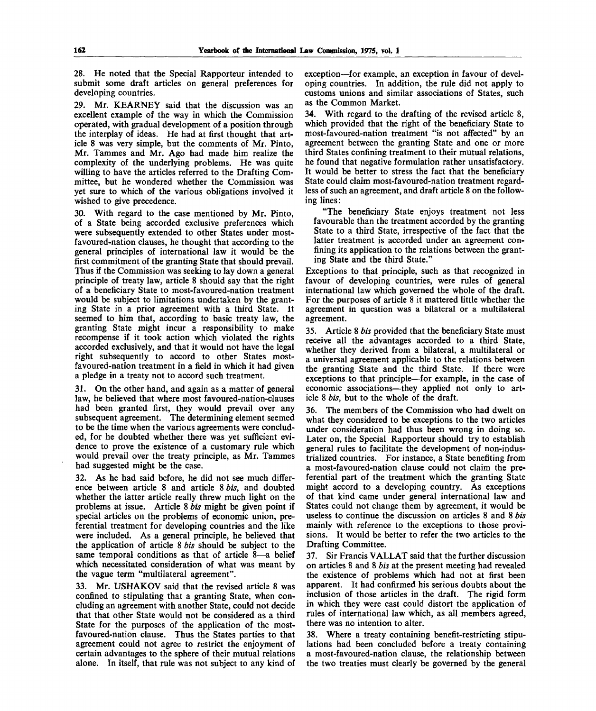28. He noted that the Special Rapporteur intended to submit some draft articles on general preferences for developing countries.

29. Mr. KEARNEY said that the discussion was an excellent example of the way in which the Commission operated, with gradual development of a position through the interplay of ideas. He had at first thought that article 8 was very simple, but the comments of Mr. Pinto, Mr. Tammes and Mr. Ago had made him realize the complexity of the underlying problems. He was quite willing to have the articles referred to the Drafting Committee, but he wondered whether the Commission was yet sure to which of the various obligations involved it wished to give precedence.

30. With regard to the case mentioned by Mr. Pinto, of a State being accorded exclusive preferences which were subsequently extended to other States under mostfavoured-nation clauses, he thought that according to the general principles of international law it would be the first commitment of the granting State that should prevail. Thus if the Commission was seeking to lay down a general principle of treaty law, article 8 should say that the right of a beneficiary State to most-favoured-nation treatment would be subject to limitations undertaken by the granting State in a prior agreement with a third State. It seemed to him that, according to basic treaty law, the granting State might incur a responsibility to make recompense if it took action which violated the rights accorded exclusively, and that it would not have the legal right subsequently to accord to other States mostfavoured-nation treatment in a field in which it had given a pledge in a treaty not to accord such treatment.

31. On the other hand, and again as a matter of general law, he believed that where most favoured-nation-clauses had been granted first, they would prevail over any subsequent agreement. The determining element seemed to be the time when the various agreements were concluded, for he doubted whether there was yet sufficient evidence to prove the existence of a customary rule which would prevail over the treaty principle, as Mr. Tammes had suggested might be the case.

32. As he had said before, he did not see much difference between article 8 and article 8 *bis,* and doubted whether the latter article really threw much light on the problems at issue. Article 8 *bis* might be given point if special articles on the problems of economic union, preferential treatment for developing countries and the like were included. As a general principle, he believed that the application of article 8 *bis* should be subject to the same temporal conditions as that of article 8—a belief which necessitated consideration of what was meant by the vague term "multilateral agreement".

33. Mr. USHAKOV said that the revised articls 8 was confined to stipulating that a granting State, when concluding an agreement with another State, could not decide that that other State would not be considered as a third State for the purposes of the application of the mostfavoured-nation clause. Thus the States parties to that agreement could not agree to restrict the enjoyment of certain advantages to the sphere of their mutual relations alone. In itself, that rule was not subject to any kind of

exception—for example, an exception in favour of developing countries. In addition, the rule did not apply to customs unions and similar associations of States, such as the Common Market.

34. With regard to the drafting of the revised article 8, which provided that the right of the beneficiary State to most-favoured-nation treatment "is not affected" by an agreement between the granting State and one or more third States confining treatment to their mutual relations, he found that negative formulation rather unsatisfactory. It would be better to stress the fact that the beneficiary State could claim most-favoured-nation treatment regardless of such an agreement, and draft article 8 on the following lines:

"The beneficiary State enjoys treatment not less favourable than the treatment accorded by the granting State to a third State, irrespective of the fact that the latter treatment is accorded under an agreement confining its application to the relations between the granting State and the third State."

Exceptions to that principle, such as that recognized in favour of developing countries, were rules of general international law which governed the whole of the draft. For the purposes of article 8 it mattered little whether the agreement in question was a bilateral or a multilateral agreement.

35. Article 8 *bis* provided that the beneficiary State must receive all the advantages accorded to a third State, whether they derived from a bilateral, a multilateral or a universal agreement applicable to the relations between the granting State and the third State. If there were exceptions to that principle—for example, in the case of economic associations—they applied not only to article 8 *bis,* but to the whole of the draft.

The members of the Commission who had dwelt on what they considered to be exceptions to the two articles under consideration had thus been wrong in doing so. Later on, the Special Rapporteur should try to establish general rules to facilitate the development of non-industrialized countries. For instance, a State benefiting from a most-favoured-nation clause could not claim the preferential part of the treatment which the granting State might accord to a developing country. As exceptions of that kind came under general international law and States could not change them by agreement, it would be useless to continue the discussion on articles 8 and 8 *bis* mainly with reference to the exceptions to those provisions. It would be better to refer the two articles to the Drafting Committee.

37. Sir Francis VALLAT said that the further discussion on articles 8 and 8 *bis* at the present meeting had revealed the existence of problems which had not at first been apparent. It had confirmed his serious doubts about the inclusion of those articles in the draft. The rigid form in which they were cast could distort the application of rules of international law which, as all members agreed, there was no intention to alter.

38. Where a treaty containing benefit-restricting stipulations had been concluded before a treaty containing a most-favoured-nation clause, the relationship between the two treaties must clearly be governed by the general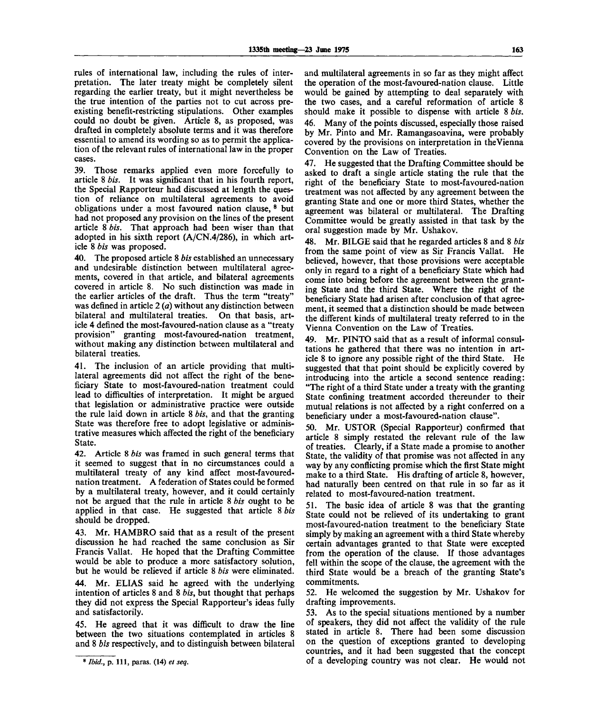rules of international law, including the rules of interpretation. The later treaty might be completely silent regarding the earlier treaty, but it might nevertheless be the true intention of the parties not to cut across preexisting benefit-restricting stipulations. Other examples could no doubt be given. Article 8, as proposed, was drafted in completely absolute terms and it was therefore essential to amend its wording so as to permit the application of the relevant rules of international law in the proper cases.

39. Those remarks applied even more forcefully to article 8 *bis.* It was significant that in his fourth report, the Special Rapporteur had discussed at length the question of reliance on multilateral agreements to avoid obligations under a most favoured nation clause, <sup>8</sup> but had not proposed any provision on the lines of the present article 8 *bis.* That approach had been wiser than that adopted in his sixth report  $(A/CN.4/286)$ , in which article 8 *bis* was proposed.

40. The proposed article 8 *bis* established an unnecessary and undesirable distinction between multilateral agreements, covered in that article, and bilateral agreements covered in article 8. No such distinction was made in the earlier articles of the draft. Thus the term "treaty" was defined in article *2 (a)* without any distinction between bilateral and multilateral treaties. On that basis, article 4 defined the most-favoured-nation clause as a "treaty provision" granting most-favoured-nation treatment, without making any distinction between multilateral and bilateral treaties.

41. The inclusion of an article providing that multilateral agreements did not affect the right of the beneficiary State to most-favoured-nation treatment could lead to difficulties of interpretation. It might be argued that legislation or administrative practice were outside the rule laid down in article 8 *bis,* and that the granting State was therefore free to adopt legislative or administrative measures which affected the right of the beneficiary State.

42. Article 8 *bis* was framed in such general terms that it seemed to suggest that in no circumstances could a multilateral treaty of any kind affect most-favourednation treatment. A federation of States could be formed by a multilateral treaty, however, and it could certainly not be argued that the rule in article 8 *bis* ought to be applied in that case. He suggested that article 8 *bis* should be dropped.

43. Mr. HAMBRO said that as a result of the present discussion he had reached the same conclusion as Sir Francis Vallat. He hoped that the Drafting Committee would be able to produce a more satisfactory solution, but he would be relieved if article 8 *bis* were eliminated.

44. Mr. ELIAS said he agreed with the underlying intention of articles 8 and 8 *bis,* but thought that perhaps they did not express the Special Rapporteur's ideas fully and satisfactorily.

45. He agreed that it was difficult to draw the line between the two situations contemplated in articles 8 and 8 *bis* respectively, and to distinguish between bilateral

and multilateral agreements in so far as they might affect the operation of the most-favoured-nation clause. Little would be gained by attempting to deal separately with the two cases, and a careful reformation of article 8 should make it possible to dispense with article 8 *bis.* 46. Many of the points discussed, especially those raised by Mr. Pinto and Mr. Ramangasoavina, were probably covered by the provisions on interpretation in the Vienna Convention on the Law of Treaties.

47. He suggested that the Drafting Committee should be asked to draft a single article stating the rule that the right of the beneficiary State to most-favoured-nation treatment was not affected by any agreement between the granting State and one or more third States, whether the agreement was bilateral or multilateral. The Drafting Committee would be greatly assisted in that task by the oral suggestion made by Mr. Ushakov.

48. Mr. BILGE said that he regarded articles 8 and 8 *bis* from the same point of view as Sir Francis Vallat. He believed, however, that those provisions were acceptable only in regard to a right of a beneficiary State which had come into being before the agreement between the granting State and the third State. Where the right of the beneficiary State had arisen after conclusion of that agreement, it seemed that a distinction should be made between the different kinds of multilateral treaty referred to in the Vienna Convention on the Law of Treaties.

49. Mr. PINTO said that as a result of informal consultations he gathered that there was no intention in article 8 to ignore any possible right of the third State. He suggested that that point should be explicitly covered by introducing into the article a second sentence reading: "The right of a third State under a treaty with the granting State confining treatment accorded thereunder to their mutual relations is not affected by a right conferred on a beneficiary under a most-favoured-nation clause".

50. Mr. USTOR (Special Rapporteur) confirmed that article 8 simply restated the relevant rule of the law of treaties. Clearly, if a State made a promise to another State, the validity of that promise was not affected in any way by any conflicting promise which the first State might make to a third State. His drafting of article 8, however, had naturally been centred on that rule in so far as it related to most-favoured-nation treatment.

51. The basic idea of article 8 was that the granting State could not be relieved of its undertaking to grant most-favoured-nation treatment to the beneficiary State simply by making an agreement with a third State whereby certain advantages granted to that State were excepted from the operation of the clause. If those advantages fell within the scope of the clause, the agreement with the third State would be a breach of the granting State's commitments.

52. He welcomed the suggestion by Mr. Ushakov for drafting improvements.

53. As to the special situations mentioned by a number of speakers, they did not affect the validity of the rule stated in article 8. There had been some discussion on the question of exceptions granted to developing countries, and it had been suggested that the concept of a developing country was not clear. He would not

**<sup>8</sup>**  *Ibid.,* **p. Ill , paras. (14)** *et seq.*